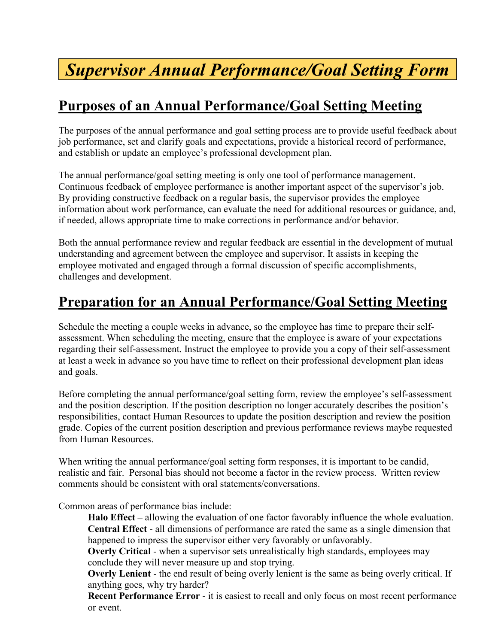# *Supervisor Annual Performance/Goal Setting Form*

#### **Purposes of an Annual Performance/Goal Setting Meeting**

The purposes of the annual performance and goal setting process are to provide useful feedback about job performance, set and clarify goals and expectations, provide a historical record of performance, and establish or update an employee's professional development plan.

The annual performance/goal setting meeting is only one tool of performance management. Continuous feedback of employee performance is another important aspect of the supervisor's job. By providing constructive feedback on a regular basis, the supervisor provides the employee information about work performance, can evaluate the need for additional resources or guidance, and, if needed, allows appropriate time to make corrections in performance and/or behavior.

Both the annual performance review and regular feedback are essential in the development of mutual understanding and agreement between the employee and supervisor. It assists in keeping the employee motivated and engaged through a formal discussion of specific accomplishments, challenges and development.

#### **Preparation for an Annual Performance/Goal Setting Meeting**

Schedule the meeting a couple weeks in advance, so the employee has time to prepare their selfassessment. When scheduling the meeting, ensure that the employee is aware of your expectations regarding their self-assessment. Instruct the employee to provide you a copy of their self-assessment at least a week in advance so you have time to reflect on their professional development plan ideas and goals.

Before completing the annual performance/goal setting form, review the employee's self-assessment and the position description. If the position description no longer accurately describes the position's responsibilities, contact Human Resources to update the position description and review the position grade. Copies of the current position description and previous performance reviews maybe requested from Human Resources.

When writing the annual performance/goal setting form responses, it is important to be candid, realistic and fair. Personal bias should not become a factor in the review process. Written review comments should be consistent with oral statements/conversations.

Common areas of performance bias include:

**Halo Effect –** allowing the evaluation of one factor favorably influence the whole evaluation. **Central Effect** - all dimensions of performance are rated the same as a single dimension that happened to impress the supervisor either very favorably or unfavorably.

**Overly Critical** - when a supervisor sets unrealistically high standards, employees may conclude they will never measure up and stop trying.

**Overly Lenient** - the end result of being overly lenient is the same as being overly critical. If anything goes, why try harder?

**Recent Performance Error** - it is easiest to recall and only focus on most recent performance or event.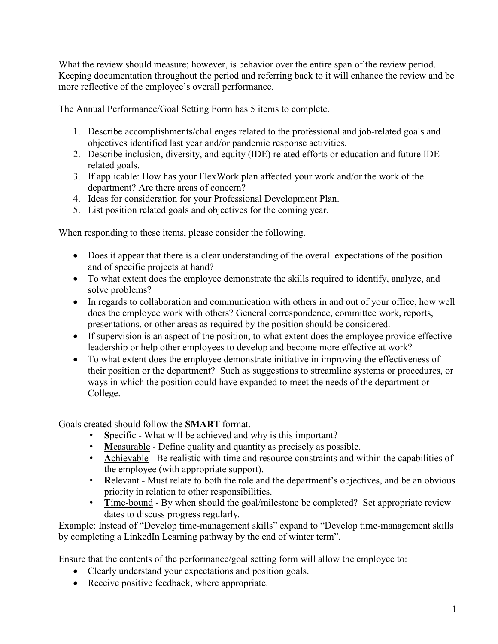What the review should measure; however, is behavior over the entire span of the review period. Keeping documentation throughout the period and referring back to it will enhance the review and be more reflective of the employee's overall performance.

The Annual Performance/Goal Setting Form has 5 items to complete.

- 1. Describe accomplishments/challenges related to the professional and job-related goals and objectives identified last year and/or pandemic response activities.
- 2. Describe inclusion, diversity, and equity (IDE) related efforts or education and future IDE related goals.
- 3. If applicable: How has your FlexWork plan affected your work and/or the work of the department? Are there areas of concern?
- 4. Ideas for consideration for your Professional Development Plan.
- 5. List position related goals and objectives for the coming year.

When responding to these items, please consider the following.

- Does it appear that there is a clear understanding of the overall expectations of the position and of specific projects at hand?
- To what extent does the employee demonstrate the skills required to identify, analyze, and solve problems?
- In regards to collaboration and communication with others in and out of your office, how well does the employee work with others? General correspondence, committee work, reports, presentations, or other areas as required by the position should be considered.
- If supervision is an aspect of the position, to what extent does the employee provide effective leadership or help other employees to develop and become more effective at work?
- To what extent does the employee demonstrate initiative in improving the effectiveness of their position or the department? Such as suggestions to streamline systems or procedures, or ways in which the position could have expanded to meet the needs of the department or College.

Goals created should follow the **SMART** format.

- **S**pecific What will be achieved and why is this important?
- **M**easurable Define quality and quantity as precisely as possible.
- Achievable Be realistic with time and resource constraints and within the capabilities of the employee (with appropriate support).
- **Relevant** Must relate to both the role and the department's objectives, and be an obvious priority in relation to other responsibilities.
- Time-bound By when should the goal/milestone be completed? Set appropriate review dates to discuss progress regularly.

Example: Instead of "Develop time-management skills" expand to "Develop time-management skills by completing a LinkedIn Learning pathway by the end of winter term".

Ensure that the contents of the performance/goal setting form will allow the employee to:

- Clearly understand your expectations and position goals.
- Receive positive feedback, where appropriate.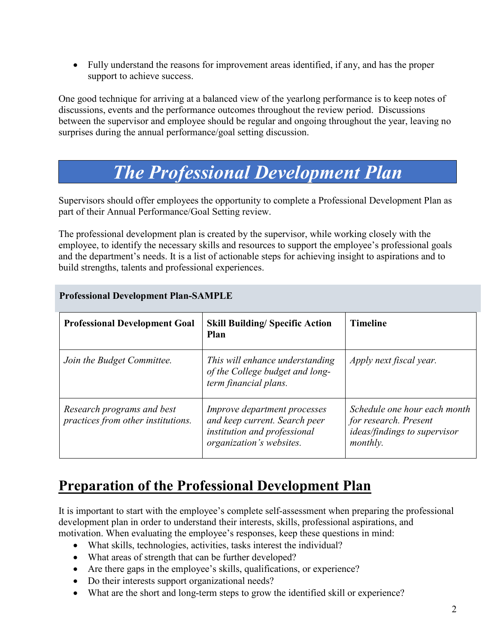• Fully understand the reasons for improvement areas identified, if any, and has the proper support to achieve success.

One good technique for arriving at a balanced view of the yearlong performance is to keep notes of discussions, events and the performance outcomes throughout the review period. Discussions between the supervisor and employee should be regular and ongoing throughout the year, leaving no surprises during the annual performance/goal setting discussion.

## *The Professional Development Plan*

Supervisors should offer employees the opportunity to complete a Professional Development Plan as part of their Annual Performance/Goal Setting review.

The professional development plan is created by the supervisor, while working closely with the employee, to identify the necessary skills and resources to support the employee's professional goals and the department's needs. It is a list of actionable steps for achieving insight to aspirations and to build strengths, talents and professional experiences.

| <b>Professional Development Goal</b>                             | <b>Skill Building/ Specific Action</b><br>Plan                                                                            | <b>Timeline</b>                                                                                          |
|------------------------------------------------------------------|---------------------------------------------------------------------------------------------------------------------------|----------------------------------------------------------------------------------------------------------|
| Join the Budget Committee.                                       | This will enhance understanding<br>of the College budget and long-<br>term financial plans.                               | Apply next fiscal year.                                                                                  |
| Research programs and best<br>practices from other institutions. | Improve department processes<br>and keep current. Search peer<br>institution and professional<br>organization's websites. | Schedule one hour each month<br>for research. Present<br><i>ideas/findings to supervisor</i><br>monthly. |

#### **Professional Development Plan-SAMPLE**

### **Preparation of the Professional Development Plan**

It is important to start with the employee's complete self-assessment when preparing the professional development plan in order to understand their interests, skills, professional aspirations, and motivation. When evaluating the employee's responses, keep these questions in mind:

- What skills, technologies, activities, tasks interest the individual?
- What areas of strength that can be further developed?
- Are there gaps in the employee's skills, qualifications, or experience?
- Do their interests support organizational needs?
- What are the short and long-term steps to grow the identified skill or experience?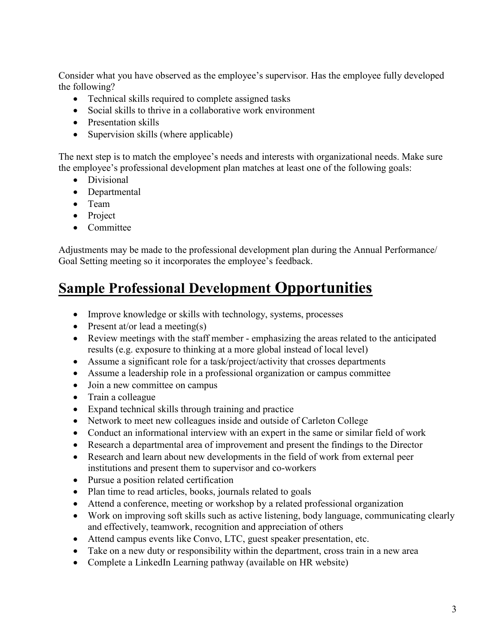Consider what you have observed as the employee's supervisor. Has the employee fully developed the following?

- Technical skills required to complete assigned tasks
- Social skills to thrive in a collaborative work environment
- Presentation skills
- Supervision skills (where applicable)

The next step is to match the employee's needs and interests with organizational needs. Make sure the employee's professional development plan matches at least one of the following goals:

- Divisional
- Departmental
- Team
- Project
- Committee

Adjustments may be made to the professional development plan during the Annual Performance/ Goal Setting meeting so it incorporates the employee's feedback.

### **Sample Professional Development Opportunities**

- Improve knowledge or skills with technology, systems, processes
- Present at/or lead a meeting(s)
- Review meetings with the staff member emphasizing the areas related to the anticipated results (e.g. exposure to thinking at a more global instead of local level)
- Assume a significant role for a task/project/activity that crosses departments
- Assume a leadership role in a professional organization or campus committee
- Join a new committee on campus
- Train a colleague
- Expand technical skills through training and practice
- Network to meet new colleagues inside and outside of Carleton College
- Conduct an informational interview with an expert in the same or similar field of work
- Research a departmental area of improvement and present the findings to the Director
- Research and learn about new developments in the field of work from external peer institutions and present them to supervisor and co-workers
- Pursue a position related certification
- Plan time to read articles, books, journals related to goals
- Attend a conference, meeting or workshop by a related professional organization
- Work on improving soft skills such as active listening, body language, communicating clearly and effectively, teamwork, recognition and appreciation of others
- Attend campus events like Convo, LTC, guest speaker presentation, etc.
- Take on a new duty or responsibility within the department, cross train in a new area
- Complete a LinkedIn Learning pathway (available on HR website)